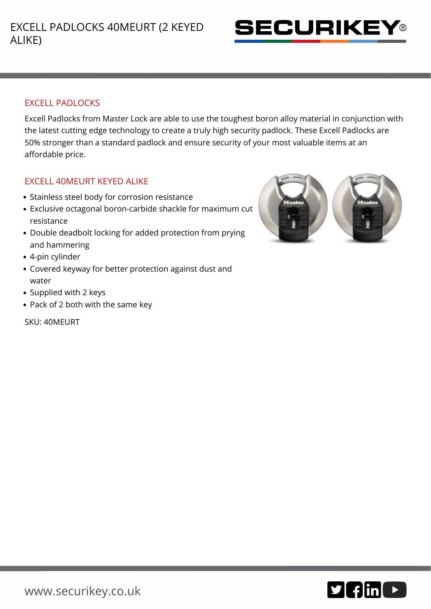

## EXCELL PADLOCKS

Excell Padlocks from Master Lock are able to use the toughest boron alloy material in conjunction with the latest cutting edge technology to create a truly high security padlock. These Excell Padlocks are 50% stronger than a standard padlock and ensure security of your most valuable items at an affordable price.

## EXCELL 40MEURT KEYED ALIKE

- Stainless steel body for corrosion resistance
- Exclusive octagonal boron-carbide shackle for maximum cut resistance
- Double deadbolt locking for added protection from prying and hammering
- 4-pin cylinder
- Covered keyway for better protection against dust and water
- Supplied with 2 keys
- Pack of 2 both with the same key

SKU: 40MEURT



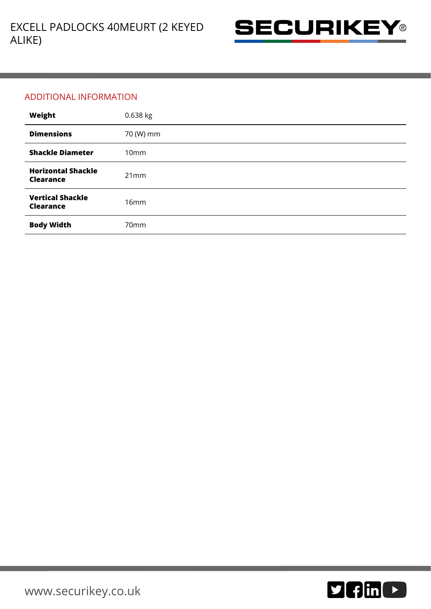

## ADDITIONAL INFORMATION

| Weight                                        | 0.638 kg         |
|-----------------------------------------------|------------------|
| <b>Dimensions</b>                             | 70 (W) mm        |
| <b>Shackle Diameter</b>                       | 10 <sub>mm</sub> |
| <b>Horizontal Shackle</b><br><b>Clearance</b> | 21mm             |
| <b>Vertical Shackle</b><br><b>Clearance</b>   | 16mm             |
| <b>Body Width</b>                             | 70 <sub>mm</sub> |